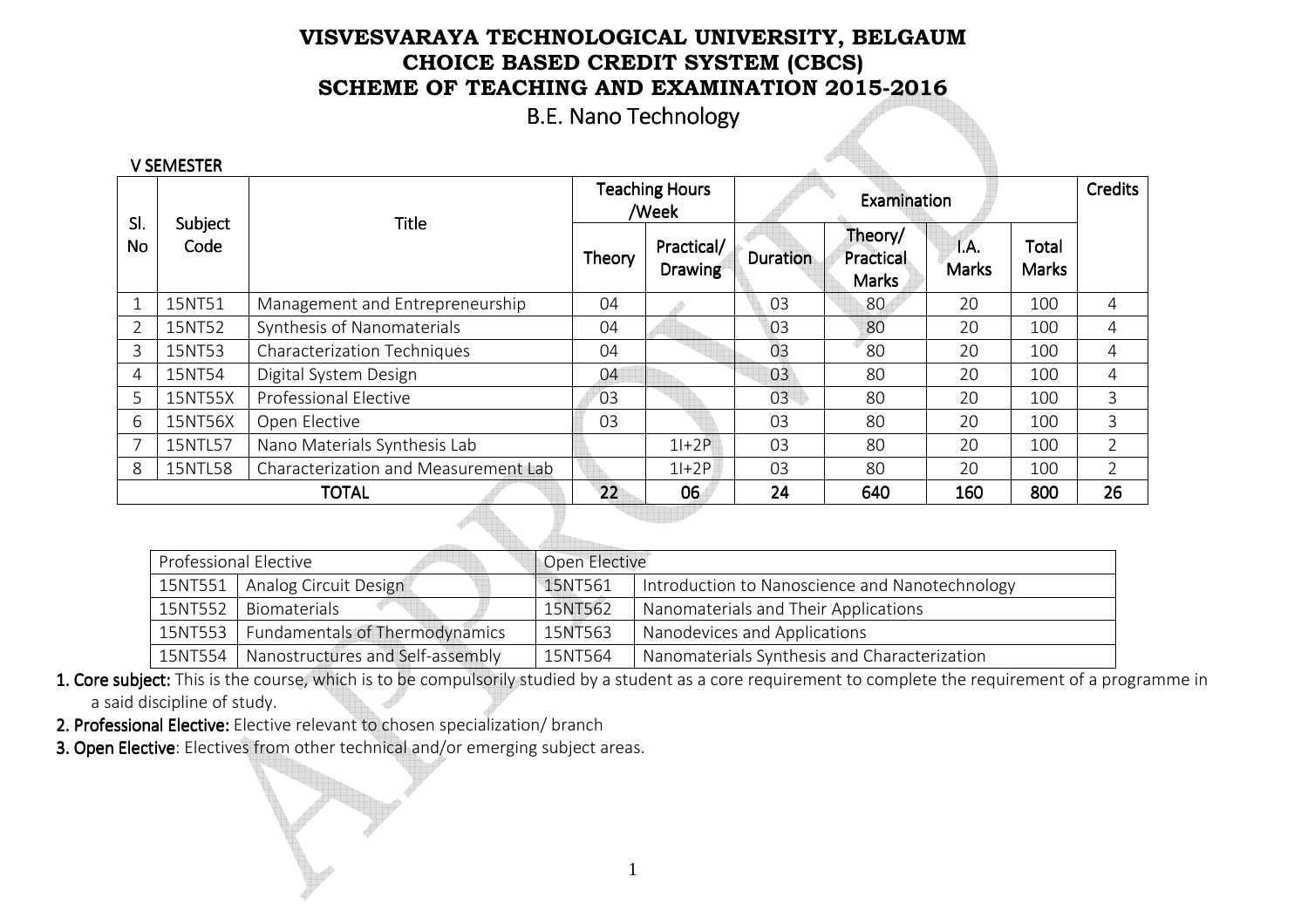B.E. Nano Technology

| <b>V SEMESTER</b> |                 |                                      |        |                                |          |                                             |                      |                       |                |
|-------------------|-----------------|--------------------------------------|--------|--------------------------------|----------|---------------------------------------------|----------------------|-----------------------|----------------|
|                   |                 | <b>Title</b>                         |        | <b>Teaching Hours</b><br>/Week |          | Examination                                 |                      | <b>Credits</b>        |                |
| SI.<br>No         | Subject<br>Code |                                      | Theory | Practical/<br><b>Drawing</b>   | Duration | Theory/<br><b>Practical</b><br><b>Marks</b> | T.A.<br><b>Marks</b> | Total<br><b>Marks</b> |                |
| 1                 | 15NT51          | Management and Entrepreneurship      | 04     |                                | 03       | 80                                          | 20                   | 100                   | 4              |
| 2                 | 15NT52          | Synthesis of Nanomaterials           | 04     |                                | 03       | 80                                          | 20                   | 100                   | 4              |
| 3                 | 15NT53          | Characterization Techniques          | 04     |                                | 03       | 80                                          | 20                   | 100                   | 4              |
| 4                 | 15NT54          | Digital System Design                | 04     |                                | 03       | 80                                          | 20                   | 100                   | 4              |
| 5                 | 15NT55X         | <b>Professional Elective</b>         | 03     |                                | 03       | 80                                          | 20                   | 100                   | 3              |
| 6                 | 15NT56X         | Open Elective                        | 03     |                                | 03       | 80                                          | 20                   | 100                   | 3              |
|                   | 15NTL57         | Nano Materials Synthesis Lab         |        | $1+2P$                         | 03       | 80                                          | 20                   | 100                   | $\overline{2}$ |
| 8                 | 15NTL58         | Characterization and Measurement Lab |        | $1+2P$                         | 03       | 80                                          | 20                   | 100                   | $\overline{2}$ |
|                   |                 | <b>TOTAL</b>                         | 22     | 06                             | 24       | 640                                         | 160                  | 800                   | 26             |

| <b>Professional Elective</b>              | Open Elective |                                                |
|-------------------------------------------|---------------|------------------------------------------------|
| Analog Circuit Design                     | 15NT561       | Introduction to Nanoscience and Nanotechnology |
| Biomaterials                              | 15NT562       | Nanomaterials and Their Applications           |
| Fundamentals of Thermodynamics<br>15NT553 | 15NT563       | Nanodevices and Applications                   |
| Nanostructures and Self-assembly          | 15NT564       | Nanomaterials Synthesis and Characterization   |
|                                           |               |                                                |

- 1. Core subject: This is the course, which is to be compulsorily studied by a student as a core requirement to complete the requirement of a programme in a said discipline of study.
- 2. Professional Elective: Elective relevant to chosen specialization/ branch
- 3. Open Elective: Electives from other technical and/or emerging subject areas.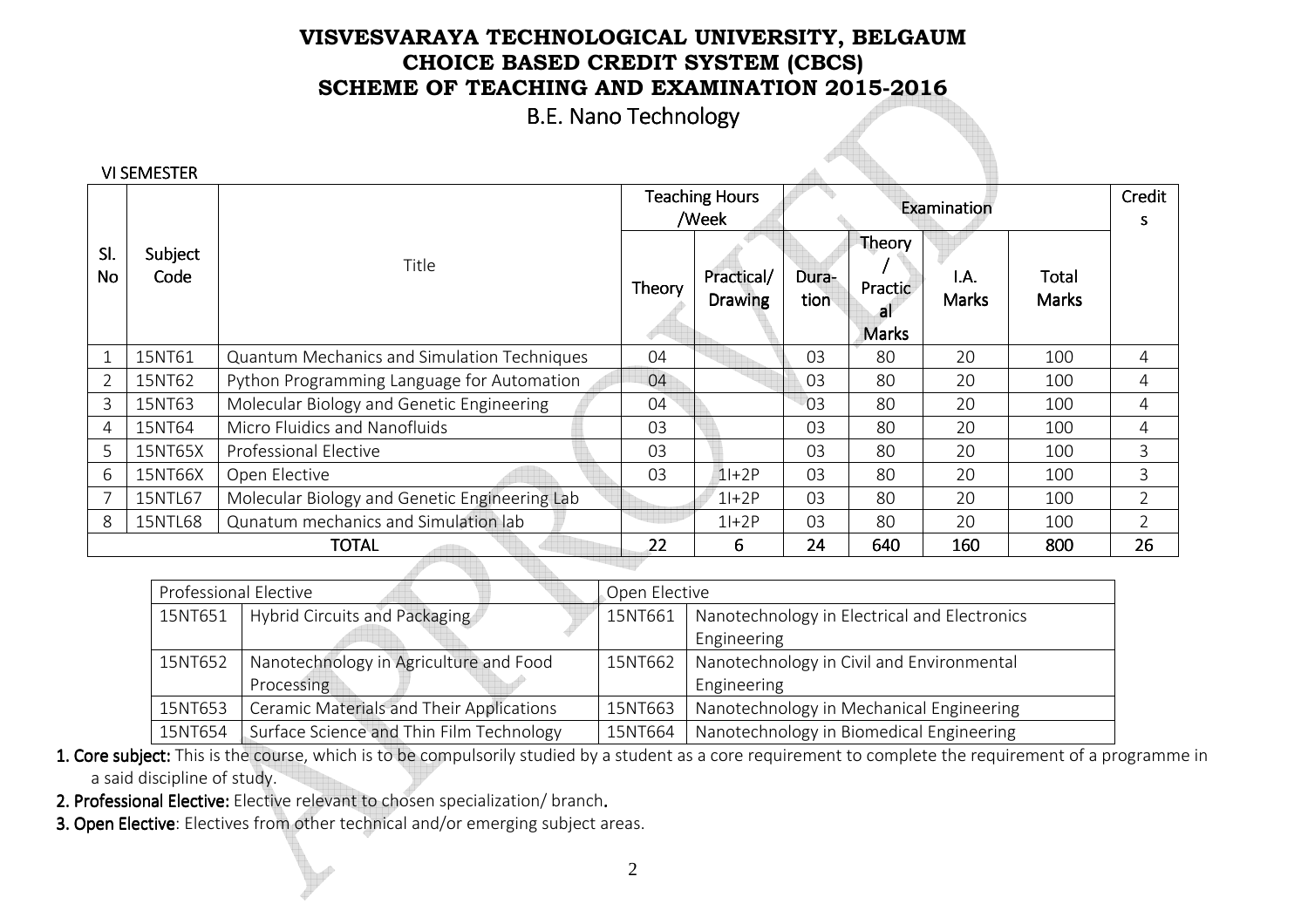B.E. Nano Technology

|                  | <b>VI SEMESTER</b> |                                               |        | <b>Teaching Hours</b><br>/Week |                | Examination                            | Credit<br>S          |                       |                |
|------------------|--------------------|-----------------------------------------------|--------|--------------------------------|----------------|----------------------------------------|----------------------|-----------------------|----------------|
| SI.<br><b>No</b> | Subject<br>Code    | Title                                         | Theory | Practical/<br><b>Drawing</b>   | Dura-<br>tion  | Theory<br>Practic<br>a<br><b>Marks</b> | I.A.<br><b>Marks</b> | Total<br><b>Marks</b> |                |
|                  | 15NT61             | Quantum Mechanics and Simulation Techniques   | 04     |                                | 03             | 80                                     | 20                   | 100                   | 4              |
|                  | 15NT62             | Python Programming Language for Automation    | 04     |                                | 03             | 80                                     | 20                   | 100                   | 4              |
| 3                | 15NT63             | Molecular Biology and Genetic Engineering     | 04     |                                | 03             | 80                                     | 20                   | 100                   | 4              |
| 4                | 15NT64             | Micro Fluidics and Nanofluids                 | 03     |                                | 03             | 80                                     | 20                   | 100                   | 4              |
| 5                | 15NT65X            | <b>Professional Elective</b>                  | 03     |                                | 03             | 80                                     | 20                   | 100                   | 3              |
| 6                | 15NT66X            | Open Elective                                 | 03     | $1+2P$                         | 0 <sup>3</sup> | 80                                     | 20                   | 100                   | 3              |
|                  | 15NTL67            | Molecular Biology and Genetic Engineering Lab |        | $1+2P$                         | 03             | 80                                     | 20                   | 100                   | $\overline{2}$ |
| 8                | 15NTL68            | Qunatum mechanics and Simulation lab          |        | $1+2P$                         | 03             | 80                                     | 20                   | 100                   |                |
|                  |                    | <b>TOTAL</b>                                  | 22     | 6.                             | 24             | 640                                    | 160                  | 800                   | 26             |

| <b>Professional Elective</b> |                                          | Open Elective |                                              |
|------------------------------|------------------------------------------|---------------|----------------------------------------------|
| 15NT651                      | Hybrid Circuits and Packaging            | 15NT661       | Nanotechnology in Electrical and Electronics |
|                              |                                          |               | Engineering                                  |
| 15NT652                      | Nanotechnology in Agriculture and Food   | 15NT662       | Nanotechnology in Civil and Environmental    |
|                              | Processing                               |               | Engineering                                  |
| 15NT653                      | Ceramic Materials and Their Applications | 15NT663       | Nanotechnology in Mechanical Engineering     |
| 15NT654                      | Surface Science and Thin Film Technology | 15NT664       | Nanotechnology in Biomedical Engineering     |
|                              |                                          |               |                                              |

1. Core subject: This is the course, which is to be compulsorily studied by a student as a core requirement to complete the requirement of a programme in a said discipline of study.

- 2. Professional Elective: Elective relevant to chos
- **2. Professional Elective:** Elective relevant to chosen specialization/ branch.<br><mark>3. Open Elective</mark>: Electives from other technical and/or emerging subject areas.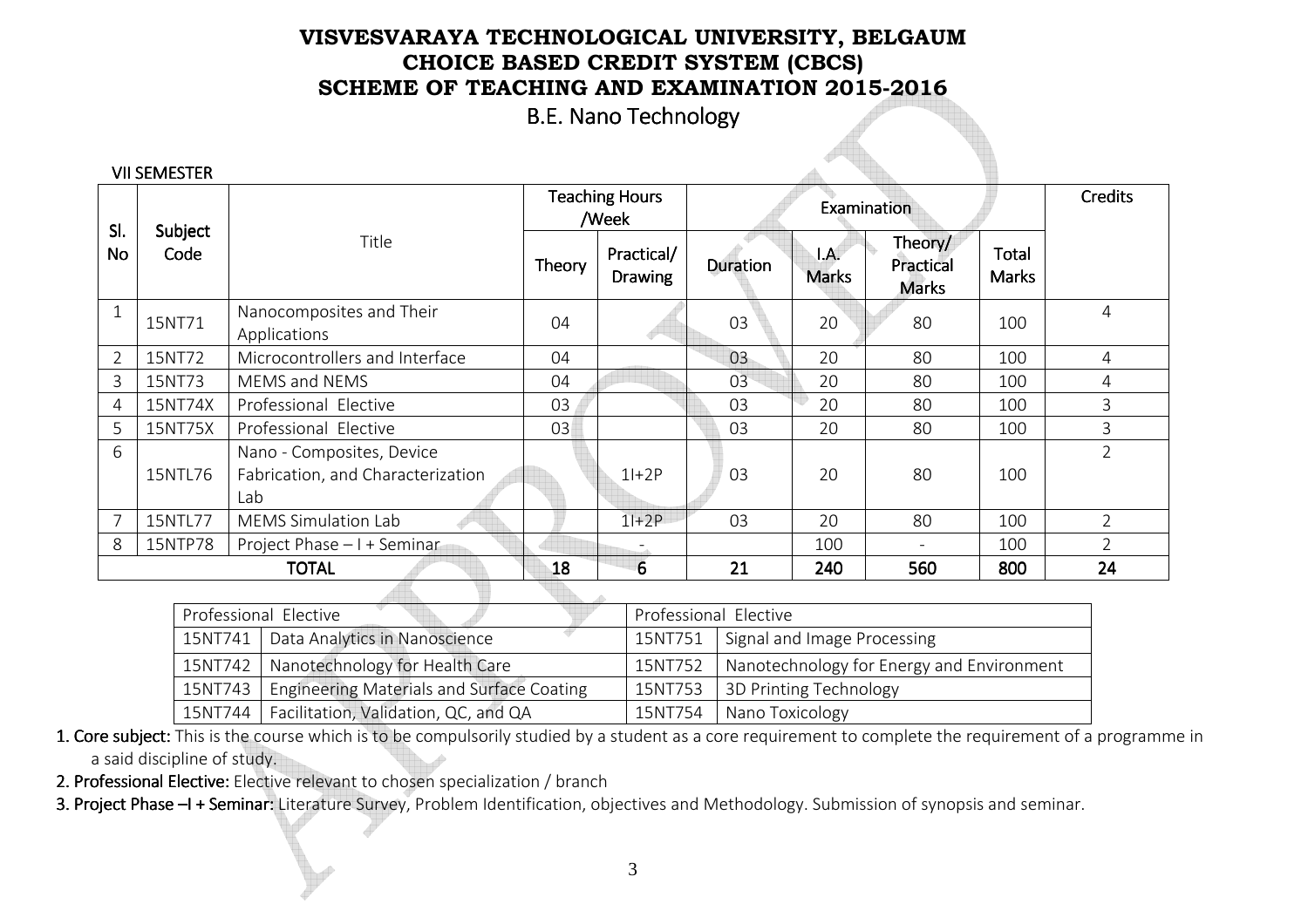B.E. Nano Technology

|  | <b>VII SEMESTER</b> |  |
|--|---------------------|--|
|  |                     |  |

| SI.            |                 |                                          |        | <b>Teaching Hours</b><br>Examination<br>/Week |          |                                           | <b>Credits</b>                       |                |                |
|----------------|-----------------|------------------------------------------|--------|-----------------------------------------------|----------|-------------------------------------------|--------------------------------------|----------------|----------------|
| <b>No</b>      | Subject<br>Code | Title                                    | Theory | Practical/<br><b>Drawing</b>                  | Duration | $\mathsf{I}.\mathsf{A}$ .<br><b>Marks</b> | Theory/<br>Practical<br><b>Marks</b> | Total<br>Marks |                |
|                | 15NT71          | Nanocomposites and Their<br>Applications | 04     |                                               | 03       | 20                                        | 80                                   | 100            | 4              |
| $\overline{2}$ | 15NT72          | Microcontrollers and Interface           | 04     |                                               | 03       | 20                                        | 80                                   | 100            | 4              |
| 3              | 15NT73          | MEMS and NEMS                            | 04     |                                               | 03       | 20                                        | 80                                   | 100            | 4              |
| 4              | 15NT74X         | Professional Elective                    | 03     |                                               | 03       | 20                                        | 80                                   | 100            | 3              |
| 5              | 15NT75X         | Professional Elective                    | 03     |                                               | 03       | 20                                        | 80                                   | 100            | 3              |
| 6              |                 | Nano - Composites, Device                |        |                                               |          |                                           |                                      |                | $\overline{2}$ |
|                | 15NTL76         | Fabrication, and Characterization        |        | $1+2P$                                        | 03       | 20                                        | 80                                   | 100            |                |
|                |                 | Lab                                      |        |                                               |          |                                           |                                      |                |                |
| 7              | 15NTL77         | <b>MEMS Simulation Lab</b>               |        | $11+2P$                                       | 03       | 20                                        | 80                                   | 100            | $\overline{2}$ |
| 8              | 15NTP78         | Project Phase - I + Seminar              |        |                                               |          | 100                                       |                                      | 100            | $\overline{2}$ |
|                |                 | <b>TOTAL</b>                             | 18     | $6\overline{6}$                               | 21       | 240                                       | 560                                  | 800            | 24             |

|         | Professional Elective                            | Professional Elective |                                           |  |  |
|---------|--------------------------------------------------|-----------------------|-------------------------------------------|--|--|
|         | 15NT741   Data Analytics in Nanoscience          | 15NT751               | Signal and Image Processing               |  |  |
|         | 15NT742   Nanotechnology for Health Care         | 15NT752               | Nanotechnology for Energy and Environment |  |  |
| 15NT743 | <b>Engineering Materials and Surface Coating</b> | 15NT753               | 3D Printing Technology                    |  |  |
|         | 15NT744   Facilitation, Validation, QC, and QA   | 15NT754               | Nano Toxicology                           |  |  |

1. Core subject: This is the course which is to be compulsorily studied by a student as a core requirement to complete the requirement of a programme in a said discipline of study.

2. Professional Elective: Elective relevant to chosen specialization / branch

3. Project Phase –I + Seminar: Literature Survey, Problem Identification, objectives and Methodology. Submission of synopsis and seminar.